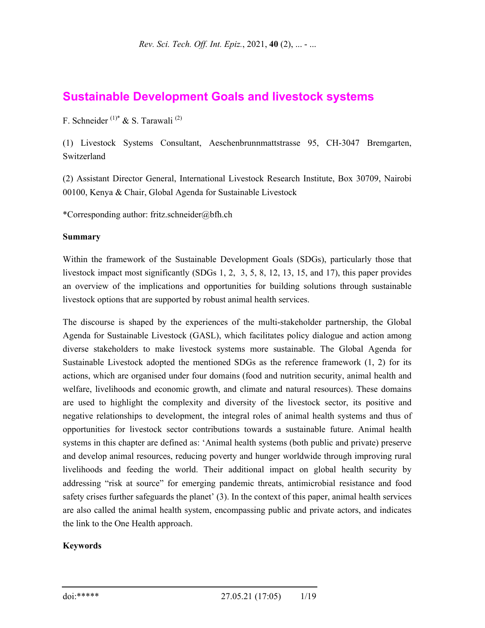# **Sustainable Development Goals and livestock systems**

F. Schneider (1)\* & S. Tarawali (2)

(1) Livestock Systems Consultant, Aeschenbrunnmattstrasse 95, CH-3047 Bremgarten, Switzerland

(2) Assistant Director General, International Livestock Research Institute, Box 30709, Nairobi 00100, Kenya & Chair, Global Agenda for Sustainable Livestock

\*Corresponding author: fritz.schneider@bfh.ch

#### **Summary**

Within the framework of the Sustainable Development Goals (SDGs), particularly those that livestock impact most significantly (SDGs 1, 2, 3, 5, 8, 12, 13, 15, and 17), this paper provides an overview of the implications and opportunities for building solutions through sustainable livestock options that are supported by robust animal health services.

The discourse is shaped by the experiences of the multi-stakeholder partnership, the Global Agenda for Sustainable Livestock (GASL), which facilitates policy dialogue and action among diverse stakeholders to make livestock systems more sustainable. The Global Agenda for Sustainable Livestock adopted the mentioned SDGs as the reference framework (1, 2) for its actions, which are organised under four domains (food and nutrition security, animal health and welfare, livelihoods and economic growth, and climate and natural resources). These domains are used to highlight the complexity and diversity of the livestock sector, its positive and negative relationships to development, the integral roles of animal health systems and thus of opportunities for livestock sector contributions towards a sustainable future. Animal health systems in this chapter are defined as: 'Animal health systems (both public and private) preserve and develop animal resources, reducing poverty and hunger worldwide through improving rural livelihoods and feeding the world. Their additional impact on global health security by addressing "risk at source" for emerging pandemic threats, antimicrobial resistance and food safety crises further safeguards the planet' (3). In the context of this paper, animal health services are also called the animal health system, encompassing public and private actors, and indicates the link to the One Health approach.

#### **Keywords**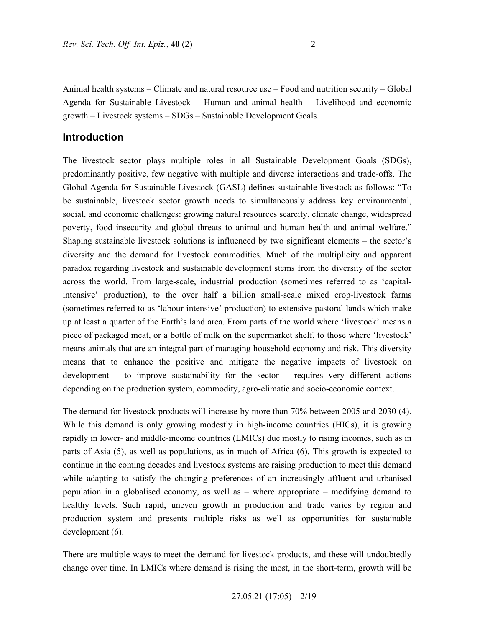Animal health systems – Climate and natural resource use – Food and nutrition security – Global Agenda for Sustainable Livestock – Human and animal health – Livelihood and economic growth – Livestock systems – SDGs – Sustainable Development Goals.

## **Introduction**

The livestock sector plays multiple roles in all Sustainable Development Goals (SDGs), predominantly positive, few negative with multiple and diverse interactions and trade-offs. The Global Agenda for Sustainable Livestock (GASL) defines sustainable livestock as follows: "To be sustainable, livestock sector growth needs to simultaneously address key environmental, social, and economic challenges: growing natural resources scarcity, climate change, widespread poverty, food insecurity and global threats to animal and human health and animal welfare." Shaping sustainable livestock solutions is influenced by two significant elements – the sector's diversity and the demand for livestock commodities. Much of the multiplicity and apparent paradox regarding livestock and sustainable development stems from the diversity of the sector across the world. From large-scale, industrial production (sometimes referred to as 'capitalintensive' production), to the over half a billion small-scale mixed crop-livestock farms (sometimes referred to as 'labour-intensive' production) to extensive pastoral lands which make up at least a quarter of the Earth's land area. From parts of the world where 'livestock' means a piece of packaged meat, or a bottle of milk on the supermarket shelf, to those where 'livestock' means animals that are an integral part of managing household economy and risk. This diversity means that to enhance the positive and mitigate the negative impacts of livestock on development – to improve sustainability for the sector – requires very different actions depending on the production system, commodity, agro-climatic and socio-economic context.

The demand for livestock products will increase by more than 70% between 2005 and 2030 (4). While this demand is only growing modestly in high-income countries (HICs), it is growing rapidly in lower- and middle-income countries (LMICs) due mostly to rising incomes, such as in parts of Asia (5), as well as populations, as in much of Africa (6). This growth is expected to continue in the coming decades and livestock systems are raising production to meet this demand while adapting to satisfy the changing preferences of an increasingly affluent and urbanised population in a globalised economy, as well as – where appropriate – modifying demand to healthy levels. Such rapid, uneven growth in production and trade varies by region and production system and presents multiple risks as well as opportunities for sustainable development (6).

There are multiple ways to meet the demand for livestock products, and these will undoubtedly change over time. In LMICs where demand is rising the most, in the short-term, growth will be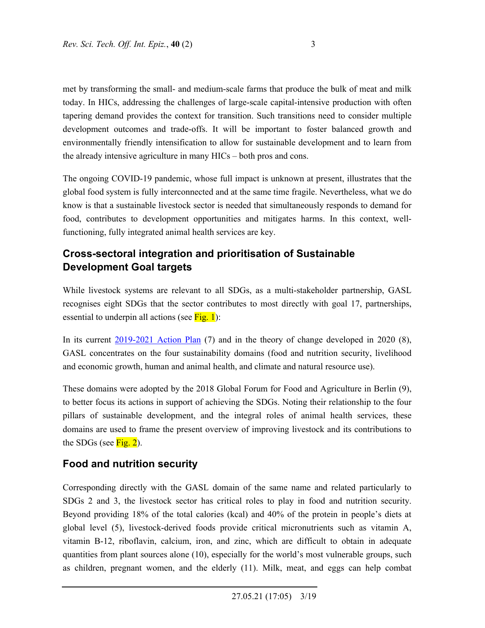met by transforming the small- and medium-scale farms that produce the bulk of meat and milk today. In HICs, addressing the challenges of large-scale capital-intensive production with often tapering demand provides the context for transition. Such transitions need to consider multiple development outcomes and trade-offs. It will be important to foster balanced growth and environmentally friendly intensification to allow for sustainable development and to learn from the already intensive agriculture in many HICs – both pros and cons.

The ongoing COVID-19 pandemic, whose full impact is unknown at present, illustrates that the global food system is fully interconnected and at the same time fragile. Nevertheless, what we do know is that a sustainable livestock sector is needed that simultaneously responds to demand for food, contributes to development opportunities and mitigates harms. In this context, wellfunctioning, fully integrated animal health services are key.

# **Cross-sectoral integration and prioritisation of Sustainable Development Goal targets**

While livestock systems are relevant to all SDGs, as a multi-stakeholder partnership, GASL recognises eight SDGs that the sector contributes to most directly with goal 17, partnerships, essential to underpin all actions (see  $Fig. 1$ ):

In its current 2019-2021 Action Plan (7) and in the theory of change developed in 2020 (8), GASL concentrates on the four sustainability domains (food and nutrition security, livelihood and economic growth, human and animal health, and climate and natural resource use).

These domains were adopted by the 2018 Global Forum for Food and Agriculture in Berlin (9), to better focus its actions in support of achieving the SDGs. Noting their relationship to the four pillars of sustainable development, and the integral roles of animal health services, these domains are used to frame the present overview of improving livestock and its contributions to the SDGs (see  $Fig. 2$ ).

# **Food and nutrition security**

Corresponding directly with the GASL domain of the same name and related particularly to SDGs 2 and 3, the livestock sector has critical roles to play in food and nutrition security. Beyond providing 18% of the total calories (kcal) and 40% of the protein in people's diets at global level (5), livestock-derived foods provide critical micronutrients such as vitamin A, vitamin B-12, riboflavin, calcium, iron, and zinc, which are difficult to obtain in adequate quantities from plant sources alone (10), especially for the world's most vulnerable groups, such as children, pregnant women, and the elderly (11). Milk, meat, and eggs can help combat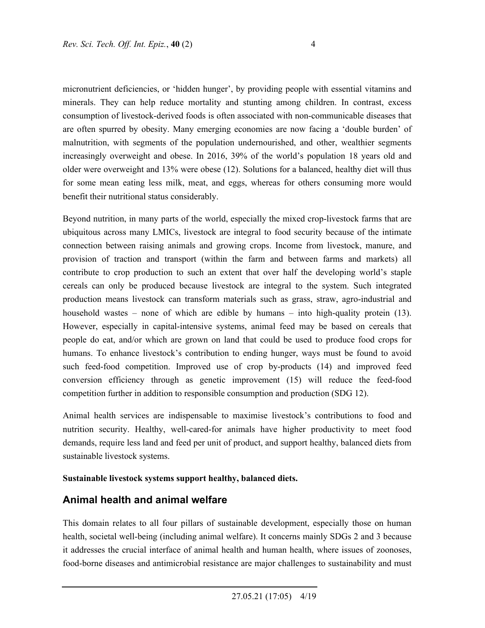micronutrient deficiencies, or 'hidden hunger', by providing people with essential vitamins and minerals. They can help reduce mortality and stunting among children. In contrast, excess consumption of livestock-derived foods is often associated with non-communicable diseases that are often spurred by obesity. Many emerging economies are now facing a 'double burden' of malnutrition, with segments of the population undernourished, and other, wealthier segments increasingly overweight and obese. In 2016, 39% of the world's population 18 years old and older were overweight and 13% were obese (12). Solutions for a balanced, healthy diet will thus for some mean eating less milk, meat, and eggs, whereas for others consuming more would benefit their nutritional status considerably.

Beyond nutrition, in many parts of the world, especially the mixed crop-livestock farms that are ubiquitous across many LMICs, livestock are integral to food security because of the intimate connection between raising animals and growing crops. Income from livestock, manure, and provision of traction and transport (within the farm and between farms and markets) all contribute to crop production to such an extent that over half the developing world's staple cereals can only be produced because livestock are integral to the system. Such integrated production means livestock can transform materials such as grass, straw, agro-industrial and household wastes – none of which are edible by humans – into high-quality protein (13). However, especially in capital-intensive systems, animal feed may be based on cereals that people do eat, and/or which are grown on land that could be used to produce food crops for humans. To enhance livestock's contribution to ending hunger, ways must be found to avoid such feed-food competition. Improved use of crop by-products (14) and improved feed conversion efficiency through as genetic improvement (15) will reduce the feed-food competition further in addition to responsible consumption and production (SDG 12).

Animal health services are indispensable to maximise livestock's contributions to food and nutrition security. Healthy, well-cared-for animals have higher productivity to meet food demands, require less land and feed per unit of product, and support healthy, balanced diets from sustainable livestock systems.

#### **Sustainable livestock systems support healthy, balanced diets.**

### **Animal health and animal welfare**

This domain relates to all four pillars of sustainable development, especially those on human health, societal well-being (including animal welfare). It concerns mainly SDGs 2 and 3 because it addresses the crucial interface of animal health and human health, where issues of zoonoses, food-borne diseases and antimicrobial resistance are major challenges to sustainability and must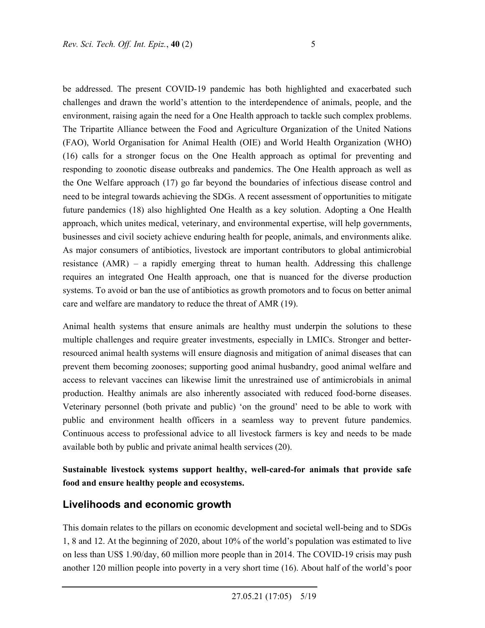be addressed. The present COVID-19 pandemic has both highlighted and exacerbated such challenges and drawn the world's attention to the interdependence of animals, people, and the environment, raising again the need for a One Health approach to tackle such complex problems. The Tripartite Alliance between the Food and Agriculture Organization of the United Nations (FAO), World Organisation for Animal Health (OIE) and World Health Organization (WHO) (16) calls for a stronger focus on the One Health approach as optimal for preventing and responding to zoonotic disease outbreaks and pandemics. The One Health approach as well as the One Welfare approach (17) go far beyond the boundaries of infectious disease control and need to be integral towards achieving the SDGs. A recent assessment of opportunities to mitigate future pandemics (18) also highlighted One Health as a key solution. Adopting a One Health approach, which unites medical, veterinary, and environmental expertise, will help governments, businesses and civil society achieve enduring health for people, animals, and environments alike. As major consumers of antibiotics, livestock are important contributors to global antimicrobial resistance (AMR) – a rapidly emerging threat to human health. Addressing this challenge requires an integrated One Health approach, one that is nuanced for the diverse production systems. To avoid or ban the use of antibiotics as growth promotors and to focus on better animal care and welfare are mandatory to reduce the threat of AMR (19).

Animal health systems that ensure animals are healthy must underpin the solutions to these multiple challenges and require greater investments, especially in LMICs. Stronger and betterresourced animal health systems will ensure diagnosis and mitigation of animal diseases that can prevent them becoming zoonoses; supporting good animal husbandry, good animal welfare and access to relevant vaccines can likewise limit the unrestrained use of antimicrobials in animal production. Healthy animals are also inherently associated with reduced food-borne diseases. Veterinary personnel (both private and public) 'on the ground' need to be able to work with public and environment health officers in a seamless way to prevent future pandemics. Continuous access to professional advice to all livestock farmers is key and needs to be made available both by public and private animal health services (20).

**Sustainable livestock systems support healthy, well-cared-for animals that provide safe food and ensure healthy people and ecosystems.** 

## **Livelihoods and economic growth**

This domain relates to the pillars on economic development and societal well-being and to SDGs 1, 8 and 12. At the beginning of 2020, about 10% of the world's population was estimated to live on less than US\$ 1.90/day, 60 million more people than in 2014. The COVID-19 crisis may push another 120 million people into poverty in a very short time (16). About half of the world's poor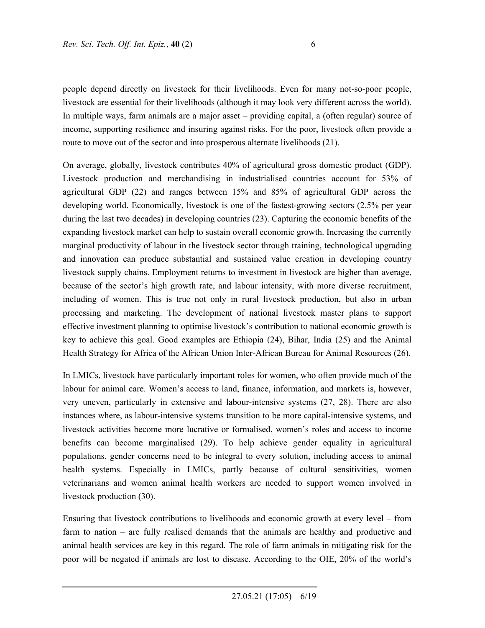people depend directly on livestock for their livelihoods. Even for many not-so-poor people, livestock are essential for their livelihoods (although it may look very different across the world). In multiple ways, farm animals are a major asset – providing capital, a (often regular) source of income, supporting resilience and insuring against risks. For the poor, livestock often provide a route to move out of the sector and into prosperous alternate livelihoods (21).

On average, globally, livestock contributes 40% of agricultural gross domestic product (GDP). Livestock production and merchandising in industrialised countries account for 53% of agricultural GDP (22) and ranges between 15% and 85% of agricultural GDP across the developing world. Economically, livestock is one of the fastest-growing sectors (2.5% per year during the last two decades) in developing countries (23). Capturing the economic benefits of the expanding livestock market can help to sustain overall economic growth. Increasing the currently marginal productivity of labour in the livestock sector through training, technological upgrading and innovation can produce substantial and sustained value creation in developing country livestock supply chains. Employment returns to investment in livestock are higher than average, because of the sector's high growth rate, and labour intensity, with more diverse recruitment, including of women. This is true not only in rural livestock production, but also in urban processing and marketing. The development of national livestock master plans to support effective investment planning to optimise livestock's contribution to national economic growth is key to achieve this goal. Good examples are Ethiopia (24), Bihar, India (25) and the Animal Health Strategy for Africa of the African Union Inter-African Bureau for Animal Resources (26).

In LMICs, livestock have particularly important roles for women, who often provide much of the labour for animal care. Women's access to land, finance, information, and markets is, however, very uneven, particularly in extensive and labour-intensive systems (27, 28). There are also instances where, as labour-intensive systems transition to be more capital-intensive systems, and livestock activities become more lucrative or formalised, women's roles and access to income benefits can become marginalised (29). To help achieve gender equality in agricultural populations, gender concerns need to be integral to every solution, including access to animal health systems. Especially in LMICs, partly because of cultural sensitivities, women veterinarians and women animal health workers are needed to support women involved in livestock production (30).

Ensuring that livestock contributions to livelihoods and economic growth at every level – from farm to nation – are fully realised demands that the animals are healthy and productive and animal health services are key in this regard. The role of farm animals in mitigating risk for the poor will be negated if animals are lost to disease. According to the OIE, 20% of the world's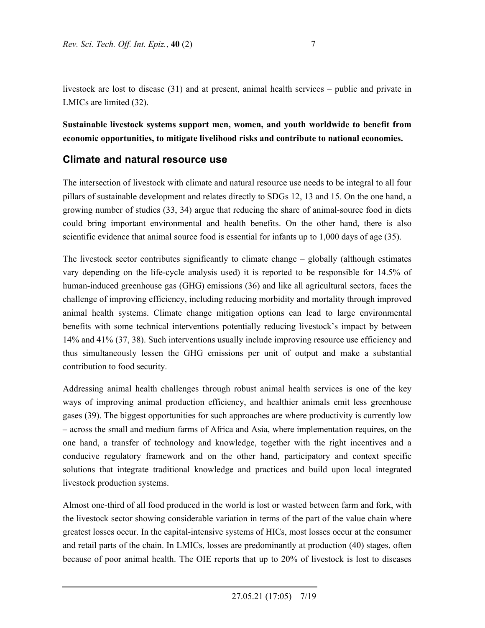livestock are lost to disease (31) and at present, animal health services – public and private in LMICs are limited (32).

**Sustainable livestock systems support men, women, and youth worldwide to benefit from economic opportunities, to mitigate livelihood risks and contribute to national economies.** 

## **Climate and natural resource use**

The intersection of livestock with climate and natural resource use needs to be integral to all four pillars of sustainable development and relates directly to SDGs 12, 13 and 15. On the one hand, a growing number of studies (33, 34) argue that reducing the share of animal-source food in diets could bring important environmental and health benefits. On the other hand, there is also scientific evidence that animal source food is essential for infants up to 1,000 days of age (35).

The livestock sector contributes significantly to climate change – globally (although estimates vary depending on the life-cycle analysis used) it is reported to be responsible for 14.5% of human-induced greenhouse gas (GHG) emissions (36) and like all agricultural sectors, faces the challenge of improving efficiency, including reducing morbidity and mortality through improved animal health systems. Climate change mitigation options can lead to large environmental benefits with some technical interventions potentially reducing livestock's impact by between 14% and 41% (37, 38). Such interventions usually include improving resource use efficiency and thus simultaneously lessen the GHG emissions per unit of output and make a substantial contribution to food security.

Addressing animal health challenges through robust animal health services is one of the key ways of improving animal production efficiency, and healthier animals emit less greenhouse gases (39). The biggest opportunities for such approaches are where productivity is currently low – across the small and medium farms of Africa and Asia, where implementation requires, on the one hand, a transfer of technology and knowledge, together with the right incentives and a conducive regulatory framework and on the other hand, participatory and context specific solutions that integrate traditional knowledge and practices and build upon local integrated livestock production systems.

Almost one-third of all food produced in the world is lost or wasted between farm and fork, with the livestock sector showing considerable variation in terms of the part of the value chain where greatest losses occur. In the capital-intensive systems of HICs, most losses occur at the consumer and retail parts of the chain. In LMICs, losses are predominantly at production (40) stages, often because of poor animal health. The OIE reports that up to 20% of livestock is lost to diseases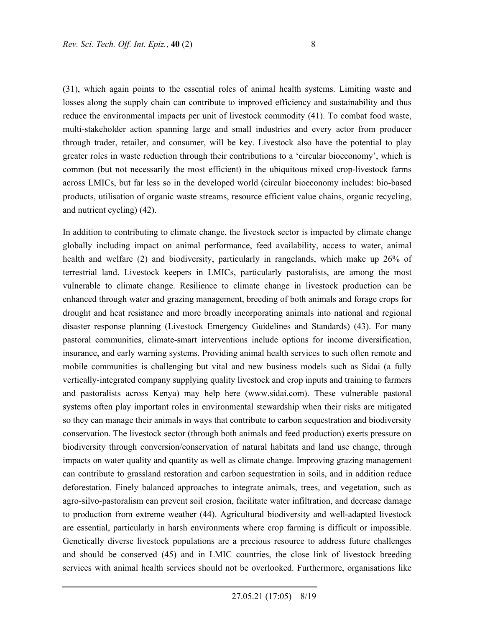(31), which again points to the essential roles of animal health systems. Limiting waste and losses along the supply chain can contribute to improved efficiency and sustainability and thus reduce the environmental impacts per unit of livestock commodity (41). To combat food waste, multi-stakeholder action spanning large and small industries and every actor from producer through trader, retailer, and consumer, will be key. Livestock also have the potential to play greater roles in waste reduction through their contributions to a 'circular bioeconomy', which is common (but not necessarily the most efficient) in the ubiquitous mixed crop-livestock farms across LMICs, but far less so in the developed world (circular bioeconomy includes: bio-based products, utilisation of organic waste streams, resource efficient value chains, organic recycling, and nutrient cycling) (42).

In addition to contributing to climate change, the livestock sector is impacted by climate change globally including impact on animal performance, feed availability, access to water, animal health and welfare (2) and biodiversity, particularly in rangelands, which make up 26% of terrestrial land. Livestock keepers in LMICs, particularly pastoralists, are among the most vulnerable to climate change. Resilience to climate change in livestock production can be enhanced through water and grazing management, breeding of both animals and forage crops for drought and heat resistance and more broadly incorporating animals into national and regional disaster response planning (Livestock Emergency Guidelines and Standards) (43). For many pastoral communities, climate-smart interventions include options for income diversification, insurance, and early warning systems. Providing animal health services to such often remote and mobile communities is challenging but vital and new business models such as Sidai (a fully vertically-integrated company supplying quality livestock and crop inputs and training to farmers and pastoralists across Kenya) may help here (www.sidai.com). These vulnerable pastoral systems often play important roles in environmental stewardship when their risks are mitigated so they can manage their animals in ways that contribute to carbon sequestration and biodiversity conservation. The livestock sector (through both animals and feed production) exerts pressure on biodiversity through conversion/conservation of natural habitats and land use change, through impacts on water quality and quantity as well as climate change. Improving grazing management can contribute to grassland restoration and carbon sequestration in soils, and in addition reduce deforestation. Finely balanced approaches to integrate animals, trees, and vegetation, such as agro-silvo-pastoralism can prevent soil erosion, facilitate water infiltration, and decrease damage to production from extreme weather (44). Agricultural biodiversity and well-adapted livestock are essential, particularly in harsh environments where crop farming is difficult or impossible. Genetically diverse livestock populations are a precious resource to address future challenges and should be conserved (45) and in LMIC countries, the close link of livestock breeding services with animal health services should not be overlooked. Furthermore, organisations like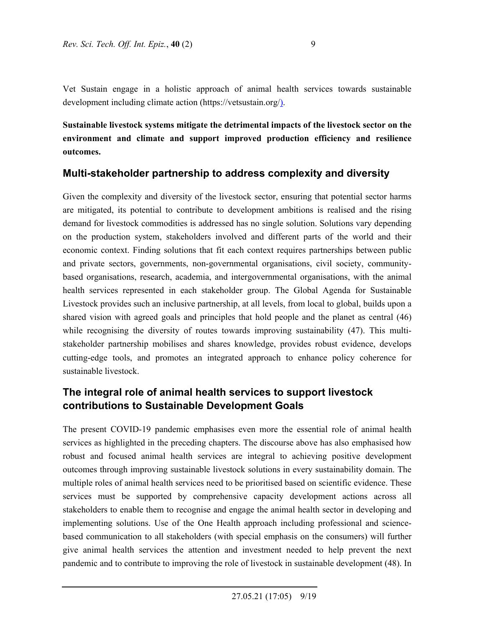Vet Sustain engage in a holistic approach of animal health services towards sustainable development including climate action (https://vetsustain.org/).

**Sustainable livestock systems mitigate the detrimental impacts of the livestock sector on the environment and climate and support improved production efficiency and resilience outcomes.** 

### **Multi-stakeholder partnership to address complexity and diversity**

Given the complexity and diversity of the livestock sector, ensuring that potential sector harms are mitigated, its potential to contribute to development ambitions is realised and the rising demand for livestock commodities is addressed has no single solution. Solutions vary depending on the production system, stakeholders involved and different parts of the world and their economic context. Finding solutions that fit each context requires partnerships between public and private sectors, governments, non-governmental organisations, civil society, communitybased organisations, research, academia, and intergovernmental organisations, with the animal health services represented in each stakeholder group. The Global Agenda for Sustainable Livestock provides such an inclusive partnership, at all levels, from local to global, builds upon a shared vision with agreed goals and principles that hold people and the planet as central (46) while recognising the diversity of routes towards improving sustainability (47). This multistakeholder partnership mobilises and shares knowledge, provides robust evidence, develops cutting-edge tools, and promotes an integrated approach to enhance policy coherence for sustainable livestock.

## **The integral role of animal health services to support livestock contributions to Sustainable Development Goals**

The present COVID-19 pandemic emphasises even more the essential role of animal health services as highlighted in the preceding chapters. The discourse above has also emphasised how robust and focused animal health services are integral to achieving positive development outcomes through improving sustainable livestock solutions in every sustainability domain. The multiple roles of animal health services need to be prioritised based on scientific evidence. These services must be supported by comprehensive capacity development actions across all stakeholders to enable them to recognise and engage the animal health sector in developing and implementing solutions. Use of the One Health approach including professional and sciencebased communication to all stakeholders (with special emphasis on the consumers) will further give animal health services the attention and investment needed to help prevent the next pandemic and to contribute to improving the role of livestock in sustainable development (48). In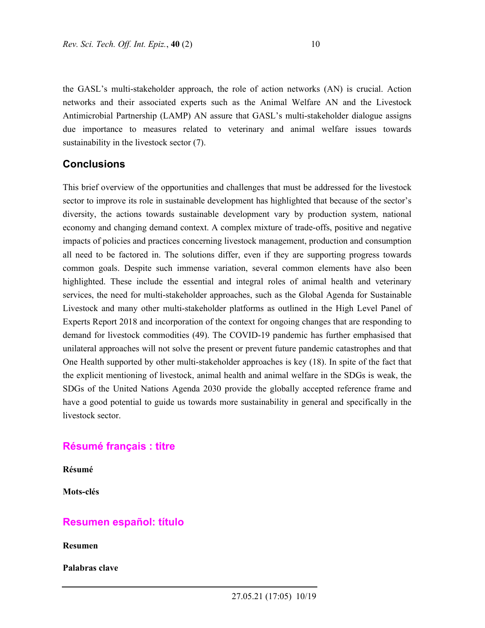the GASL's multi-stakeholder approach, the role of action networks (AN) is crucial. Action networks and their associated experts such as the Animal Welfare AN and the Livestock Antimicrobial Partnership (LAMP) AN assure that GASL's multi-stakeholder dialogue assigns due importance to measures related to veterinary and animal welfare issues towards sustainability in the livestock sector (7).

### **Conclusions**

This brief overview of the opportunities and challenges that must be addressed for the livestock sector to improve its role in sustainable development has highlighted that because of the sector's diversity, the actions towards sustainable development vary by production system, national economy and changing demand context. A complex mixture of trade-offs, positive and negative impacts of policies and practices concerning livestock management, production and consumption all need to be factored in. The solutions differ, even if they are supporting progress towards common goals. Despite such immense variation, several common elements have also been highlighted. These include the essential and integral roles of animal health and veterinary services, the need for multi-stakeholder approaches, such as the Global Agenda for Sustainable Livestock and many other multi-stakeholder platforms as outlined in the High Level Panel of Experts Report 2018 and incorporation of the context for ongoing changes that are responding to demand for livestock commodities (49). The COVID-19 pandemic has further emphasised that unilateral approaches will not solve the present or prevent future pandemic catastrophes and that One Health supported by other multi-stakeholder approaches is key (18). In spite of the fact that the explicit mentioning of livestock, animal health and animal welfare in the SDGs is weak, the SDGs of the United Nations Agenda 2030 provide the globally accepted reference frame and have a good potential to guide us towards more sustainability in general and specifically in the livestock sector.

### **Résumé français : titre**

**Résumé** 

**Mots-clés** 

#### **Resumen español: título**

**Resumen** 

**Palabras clave**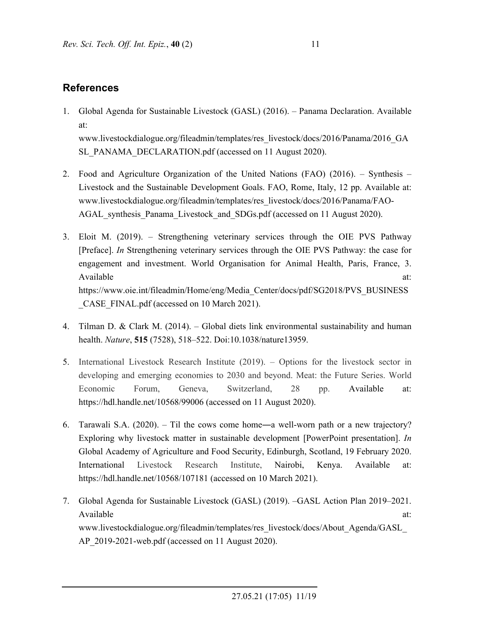# **References**

- 1. Global Agenda for Sustainable Livestock (GASL) (2016). Panama Declaration. Available at: www.livestockdialogue.org/fileadmin/templates/res\_livestock/docs/2016/Panama/2016\_GA SL\_PANAMA\_DECLARATION.pdf (accessed on 11 August 2020).
- 2. Food and Agriculture Organization of the United Nations (FAO) (2016). Synthesis Livestock and the Sustainable Development Goals. FAO, Rome, Italy, 12 pp. Available at: www.livestockdialogue.org/fileadmin/templates/res\_livestock/docs/2016/Panama/FAO-AGAL synthesis Panama Livestock and SDGs.pdf (accessed on 11 August 2020).
- 3. Eloit M. (2019). Strengthening veterinary services through the OIE PVS Pathway [Preface]. *In* Strengthening veterinary services through the OIE PVS Pathway: the case for engagement and investment. World Organisation for Animal Health, Paris, France, 3. Available at:  $\alpha$ https://www.oie.int/fileadmin/Home/eng/Media\_Center/docs/pdf/SG2018/PVS\_BUSINESS \_CASE\_FINAL.pdf (accessed on 10 March 2021).
- 4. Tilman D. & Clark M. (2014). Global diets link environmental sustainability and human health. *Nature*, **515** (7528), 518–522. Doi:10.1038/nature13959.
- 5. International Livestock Research Institute (2019). Options for the livestock sector in developing and emerging economies to 2030 and beyond. Meat: the Future Series. World Economic Forum, Geneva, Switzerland, 28 pp. Available at: https://hdl.handle.net/10568/99006 (accessed on 11 August 2020).
- 6. Tarawali S.A. (2020). Til the cows come home―a well-worn path or a new trajectory? Exploring why livestock matter in sustainable development [PowerPoint presentation]. *In* Global Academy of Agriculture and Food Security, Edinburgh, Scotland, 19 February 2020. International Livestock Research Institute, Nairobi, Kenya. Available at: https://hdl.handle.net/10568/107181 (accessed on 10 March 2021).
- 7. Global Agenda for Sustainable Livestock (GASL) (2019). –GASL Action Plan 2019–2021. Available at: www.livestockdialogue.org/fileadmin/templates/res\_livestock/docs/About\_Agenda/GASL\_ AP\_2019-2021-web.pdf (accessed on 11 August 2020).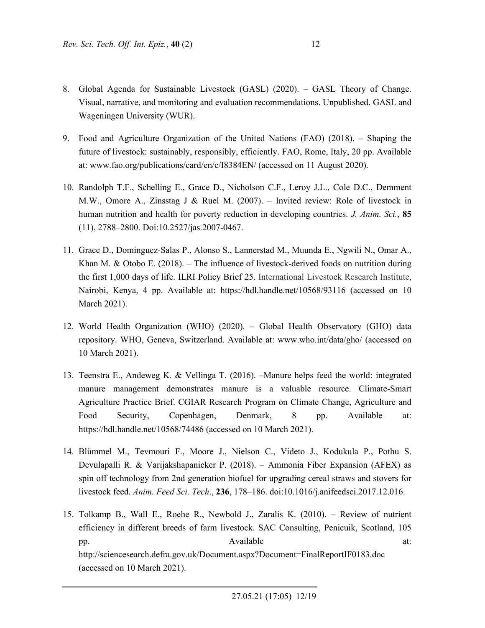- 8. Global Agenda for Sustainable Livestock (GASL) (2020). GASL Theory of Change. Visual, narrative, and monitoring and evaluation recommendations. Unpublished. GASL and Wageningen University (WUR).
- 9. Food and Agriculture Organization of the United Nations (FAO) (2018). Shaping the future of livestock: sustainably, responsibly, efficiently. FAO, Rome, Italy, 20 pp. Available at: www.fao.org/publications/card/en/c/I8384EN/ (accessed on 11 August 2020).
- 10. Randolph T.F., Schelling E., Grace D., Nicholson C.F., Leroy J.L., Cole D.C., Demment M.W., Omore A., Zinsstag J & Ruel M. (2007). – Invited review: Role of livestock in human nutrition and health for poverty reduction in developing countries. *J. Anim. Sci.*, **85**  (11), 2788–2800. Doi:10.2527/jas.2007-0467.
- 11. Grace D., Dominguez-Salas P., Alonso S., Lannerstad M., Muunda E., Ngwili N., Omar A., Khan M. & Otobo E.  $(2018)$ . – The influence of livestock-derived foods on nutrition during the first 1,000 days of life. ILRI Policy Brief 25. International Livestock Research Institute, Nairobi, Kenya, 4 pp. Available at: https://hdl.handle.net/10568/93116 (accessed on 10 March 2021).
- 12. World Health Organization (WHO) (2020). Global Health Observatory (GHO) data repository. WHO, Geneva, Switzerland. Available at: www.who.int/data/gho/ (accessed on 10 March 2021).
- 13. Teenstra E., Andeweg K. & Vellinga T. (2016). –Manure helps feed the world: integrated manure management demonstrates manure is a valuable resource. Climate-Smart Agriculture Practice Brief. CGIAR Research Program on Climate Change, Agriculture and Food Security, Copenhagen, Denmark, 8 pp. Available at: https://hdl.handle.net/10568/74486 (accessed on 10 March 2021).
- 14. Blümmel M., Tevmouri F., Moore J., Nielson C., Videto J., Kodukula P., Pothu S. Devulapalli R. & Varijakshapanicker P. (2018). – Ammonia Fiber Expansion (AFEX) as spin off technology from 2nd generation biofuel for upgrading cereal straws and stovers for livestock feed. *Anim. Feed Sci. Tech*., **236**, 178–186. doi:10.1016/j.anifeedsci.2017.12.016.
- 15. Tolkamp B., Wall E., Roehe R., Newbold J., Zaralis K. (2010). Review of nutrient efficiency in different breeds of farm livestock. SAC Consulting, Penicuik, Scotland, 105 pp. Available at: http://sciencesearch.defra.gov.uk/Document.aspx?Document=FinalReportIF0183.doc (accessed on 10 March 2021).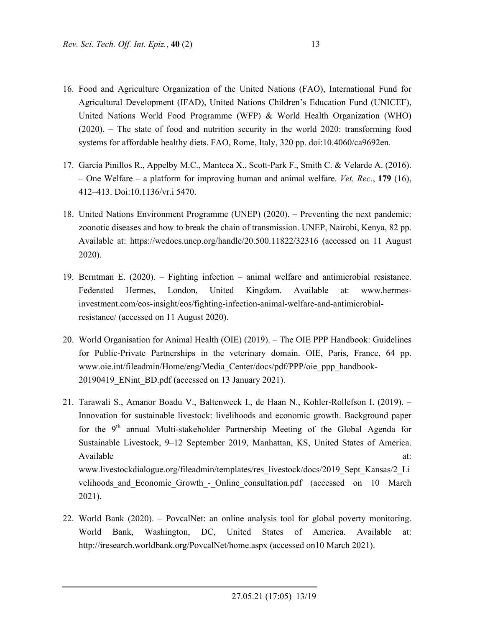- 16. Food and Agriculture Organization of the United Nations (FAO), International Fund for Agricultural Development (IFAD), United Nations Children's Education Fund (UNICEF), United Nations World Food Programme (WFP) & World Health Organization (WHO) (2020). – The state of food and nutrition security in the world 2020: transforming food systems for affordable healthy diets. FAO, Rome, Italy, 320 pp. doi:10.4060/ca9692en.
- 17. García Pinillos R., Appelby M.C., Manteca X., Scott-Park F., Smith C. & Velarde A. (2016). – One Welfare – a platform for improving human and animal welfare. *Vet. Rec.*, **179** (16), 412–413. Doi:10.1136/vr.i 5470.
- 18. United Nations Environment Programme (UNEP) (2020). Preventing the next pandemic: zoonotic diseases and how to break the chain of transmission. UNEP, Nairobi, Kenya, 82 pp. Available at: https://wedocs.unep.org/handle/20.500.11822/32316 (accessed on 11 August 2020).
- 19. Berntman E. (2020). Fighting infection animal welfare and antimicrobial resistance. Federated Hermes, London, United Kingdom. Available at: www.hermesinvestment.com/eos-insight/eos/fighting-infection-animal-welfare-and-antimicrobialresistance/ (accessed on 11 August 2020).
- 20. World Organisation for Animal Health (OIE) (2019). The OIE PPP Handbook: Guidelines for Public-Private Partnerships in the veterinary domain. OIE, Paris, France, 64 pp. www.oie.int/fileadmin/Home/eng/Media\_Center/docs/pdf/PPP/oie\_ppp\_handbook-20190419 ENint BD.pdf (accessed on 13 January 2021).
- 21. Tarawali S., Amanor Boadu V., Baltenweck I., de Haan N., Kohler-Rollefson I. (2019). Innovation for sustainable livestock: livelihoods and economic growth. Background paper for the  $9<sup>th</sup>$  annual Multi-stakeholder Partnership Meeting of the Global Agenda for Sustainable Livestock, 9–12 September 2019, Manhattan, KS, United States of America. Available at:  $\alpha$ www.livestockdialogue.org/fileadmin/templates/res\_livestock/docs/2019\_Sept\_Kansas/2\_Li velihoods\_and\_Economic\_Growth\_-\_Online\_consultation.pdf (accessed on 10 March 2021).
- 22. World Bank (2020). PovcalNet: an online analysis tool for global poverty monitoring. World Bank, Washington, DC, United States of America. Available at: http://iresearch.worldbank.org/PovcalNet/home.aspx (accessed on10 March 2021).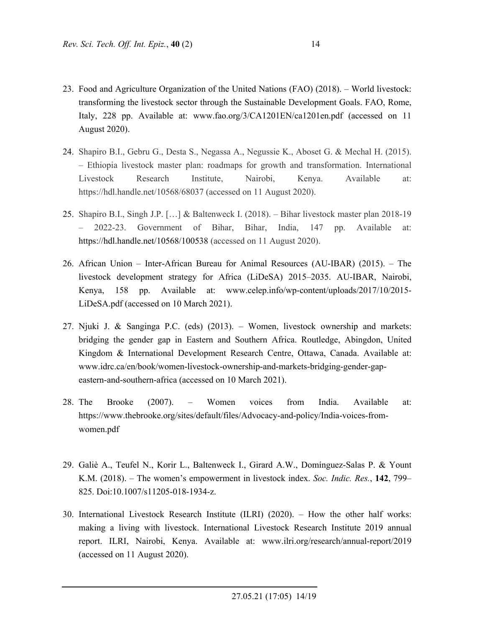- 23. Food and Agriculture Organization of the United Nations (FAO) (2018). World livestock: transforming the livestock sector through the Sustainable Development Goals. FAO, Rome, Italy, 228 pp. Available at: www.fao.org/3/CA1201EN/ca1201en.pdf (accessed on 11 August 2020).
- 24. Shapiro B.I., Gebru G., Desta S., Negassa A., Negussie K., Aboset G. & Mechal H. (2015). – Ethiopia livestock master plan: roadmaps for growth and transformation. International Livestock Research Institute, Nairobi, Kenya. Available at: https://hdl.handle.net/10568/68037 (accessed on 11 August 2020).
- 25. Shapiro B.I., Singh J.P. […] & Baltenweck I. (2018). Bihar livestock master plan 2018-19 – 2022-23. Government of Bihar, Bihar, India, 147 pp. Available at: https://hdl.handle.net/10568/100538 (accessed on 11 August 2020).
- 26. African Union Inter-African Bureau for Animal Resources (AU-IBAR) (2015). The livestock development strategy for Africa (LiDeSA) 2015–2035. AU-IBAR, Nairobi, Kenya, 158 pp. Available at: www.celep.info/wp-content/uploads/2017/10/2015- LiDeSA.pdf (accessed on 10 March 2021).
- 27. Njuki J. & Sanginga P.C. (eds) (2013). Women, livestock ownership and markets: bridging the gender gap in Eastern and Southern Africa. Routledge, Abingdon, United Kingdom & International Development Research Centre, Ottawa, Canada. Available at: www.idrc.ca/en/book/women-livestock-ownership-and-markets-bridging-gender-gapeastern-and-southern-africa (accessed on 10 March 2021).
- 28. The Brooke (2007). Women voices from India. Available at: https://www.thebrooke.org/sites/default/files/Advocacy-and-policy/India-voices-fromwomen.pdf
- 29. Galiè A., Teufel N., Korir L., Baltenweck I., Girard A.W., Domínguez-Salas P. & Yount K.M. (2018). – The women's empowerment in livestock index. *Soc. Indic. Res.*, **142**, 799– 825. Doi:10.1007/s11205-018-1934-z.
- 30. International Livestock Research Institute (ILRI) (2020). How the other half works: making a living with livestock. International Livestock Research Institute 2019 annual report. ILRI, Nairobi, Kenya. Available at: www.ilri.org/research/annual-report/2019 (accessed on 11 August 2020).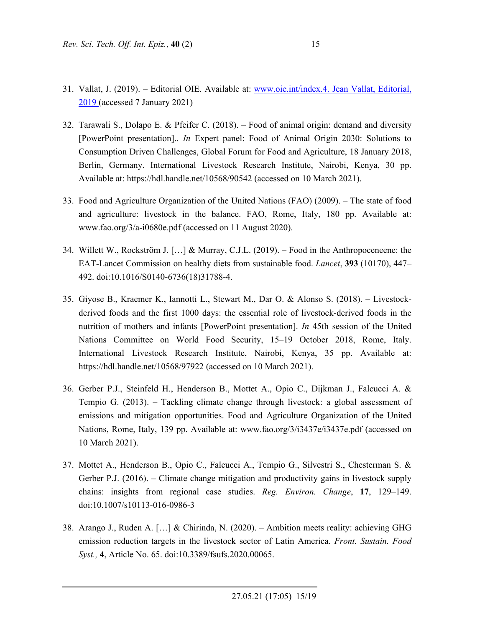- 31. Vallat, J. (2019). Editorial OIE. Available at: www.oie.int/index.4. Jean Vallat, Editorial, 2019 (accessed 7 January 2021)
- 32. Tarawali S., Dolapo E. & Pfeifer C. (2018). Food of animal origin: demand and diversity [PowerPoint presentation].. *In* Expert panel: Food of Animal Origin 2030: Solutions to Consumption Driven Challenges, Global Forum for Food and Agriculture, 18 January 2018, Berlin, Germany. International Livestock Research Institute, Nairobi, Kenya, 30 pp. Available at: https://hdl.handle.net/10568/90542 (accessed on 10 March 2021).
- 33. Food and Agriculture Organization of the United Nations (FAO) (2009). The state of food and agriculture: livestock in the balance. FAO, Rome, Italy, 180 pp. Available at: www.fao.org/3/a-i0680e.pdf (accessed on 11 August 2020).
- 34. Willett W., Rockström J. […] & Murray, C.J.L. (2019). Food in the Anthropoceneene: the EAT-Lancet Commission on healthy diets from sustainable food. *Lancet*, **393** (10170), 447– 492. doi:10.1016/S0140-6736(18)31788-4.
- 35. Giyose B., Kraemer K., Iannotti L., Stewart M., Dar O. & Alonso S. (2018). Livestockderived foods and the first 1000 days: the essential role of livestock-derived foods in the nutrition of mothers and infants [PowerPoint presentation]. *In* 45th session of the United Nations Committee on World Food Security, 15–19 October 2018, Rome, Italy. International Livestock Research Institute, Nairobi, Kenya, 35 pp. Available at: https://hdl.handle.net/10568/97922 (accessed on 10 March 2021).
- 36. Gerber P.J., Steinfeld H., Henderson B., Mottet A., Opio C., Dijkman J., Falcucci A. & Tempio G. (2013). – Tackling climate change through livestock: a global assessment of emissions and mitigation opportunities. Food and Agriculture Organization of the United Nations, Rome, Italy, 139 pp. Available at: www.fao.org/3/i3437e/i3437e.pdf (accessed on 10 March 2021).
- 37. Mottet A., Henderson B., Opio C., Falcucci A., Tempio G., Silvestri S., Chesterman S. & Gerber P.J. (2016). – Climate change mitigation and productivity gains in livestock supply chains: insights from regional case studies. *Reg. Environ. Change*, **17**, 129–149. doi:10.1007/s10113-016-0986-3
- 38. Arango J., Ruden A. […] & Chirinda, N. (2020). Ambition meets reality: achieving GHG emission reduction targets in the livestock sector of Latin America. *Front. Sustain. Food Syst.,* **4**, Article No. 65. doi:10.3389/fsufs.2020.00065.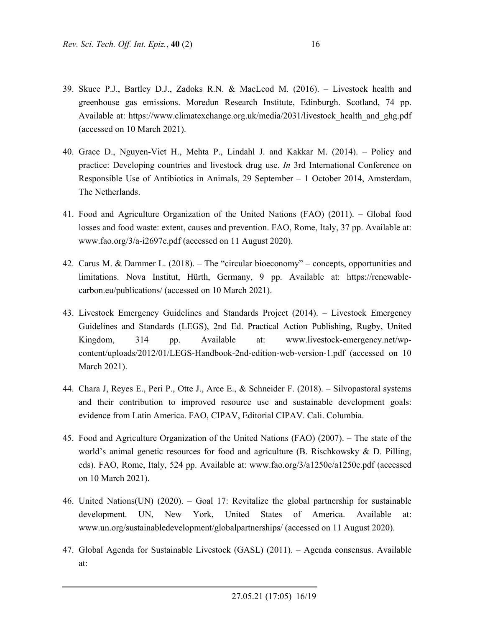- 39. Skuce P.J., Bartley D.J., Zadoks R.N. & MacLeod M. (2016). Livestock health and greenhouse gas emissions. Moredun Research Institute, Edinburgh. Scotland, 74 pp. Available at: https://www.climatexchange.org.uk/media/2031/livestock\_health\_and\_ghg.pdf (accessed on 10 March 2021).
- 40. Grace D., Nguyen-Viet H., Mehta P., Lindahl J. and Kakkar M. (2014). Policy and practice: Developing countries and livestock drug use. *In* 3rd International Conference on Responsible Use of Antibiotics in Animals, 29 September – 1 October 2014, Amsterdam, The Netherlands.
- 41. Food and Agriculture Organization of the United Nations (FAO) (2011). Global food losses and food waste: extent, causes and prevention. FAO, Rome, Italy, 37 pp. Available at: www.fao.org/3/a-i2697e.pdf (accessed on 11 August 2020).
- 42. Carus M. & Dammer L. (2018). The "circular bioeconomy" concepts, opportunities and limitations. Nova Institut, Hürth, Germany, 9 pp. Available at: https://renewablecarbon.eu/publications/ (accessed on 10 March 2021).
- 43. Livestock Emergency Guidelines and Standards Project (2014). Livestock Emergency Guidelines and Standards (LEGS), 2nd Ed. Practical Action Publishing, Rugby, United Kingdom, 314 pp. Available at: www.livestock-emergency.net/wpcontent/uploads/2012/01/LEGS-Handbook-2nd-edition-web-version-1.pdf (accessed on 10 March 2021).
- 44. Chara J, Reyes E., Peri P., Otte J., Arce E., & Schneider F. (2018). Silvopastoral systems and their contribution to improved resource use and sustainable development goals: evidence from Latin America. FAO, CIPAV, Editorial CIPAV. Cali. Columbia.
- 45. Food and Agriculture Organization of the United Nations (FAO) (2007). The state of the world's animal genetic resources for food and agriculture (B. Rischkowsky & D. Pilling, eds). FAO, Rome, Italy, 524 pp. Available at: www.fao.org/3/a1250e/a1250e.pdf (accessed on 10 March 2021).
- 46. United Nations(UN) (2020). Goal 17: Revitalize the global partnership for sustainable development. UN, New York, United States of America. Available at: www.un.org/sustainabledevelopment/globalpartnerships/ (accessed on 11 August 2020).
- 47. Global Agenda for Sustainable Livestock (GASL) (2011). Agenda consensus. Available at: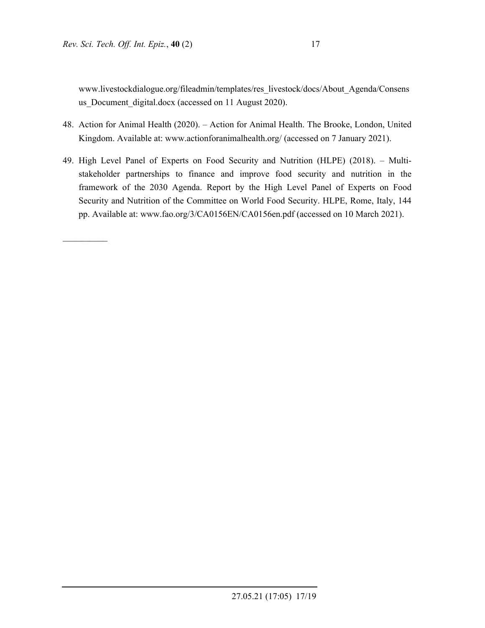$\mathcal{L}_\text{max}$ 

www.livestockdialogue.org/fileadmin/templates/res\_livestock/docs/About\_Agenda/Consens us Document digital.docx (accessed on 11 August 2020).

- 48. Action for Animal Health (2020). Action for Animal Health. The Brooke, London, United Kingdom. Available at: www.actionforanimalhealth.org/ (accessed on 7 January 2021).
- 49. High Level Panel of Experts on Food Security and Nutrition (HLPE) (2018). Multistakeholder partnerships to finance and improve food security and nutrition in the framework of the 2030 Agenda. Report by the High Level Panel of Experts on Food Security and Nutrition of the Committee on World Food Security. HLPE, Rome, Italy, 144 pp. Available at: www.fao.org/3/CA0156EN/CA0156en.pdf (accessed on 10 March 2021).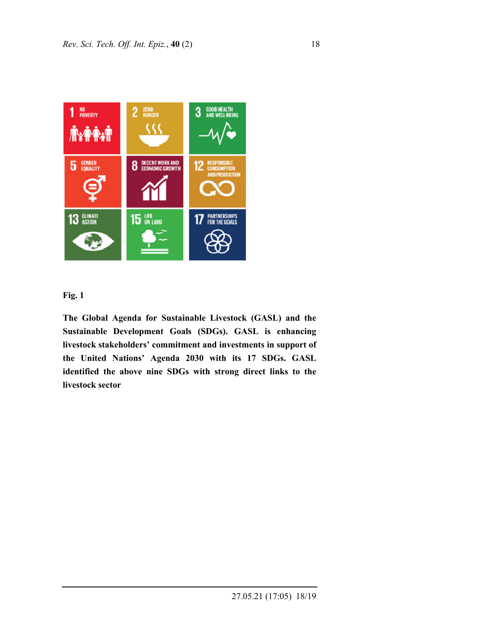



**The Global Agenda for Sustainable Livestock (GASL) and the Sustainable Development Goals (SDGs). GASL is enhancing livestock stakeholders' commitment and investments in support of the United Nations' Agenda 2030 with its 17 SDGs. GASL identified the above nine SDGs with strong direct links to the livestock sector**